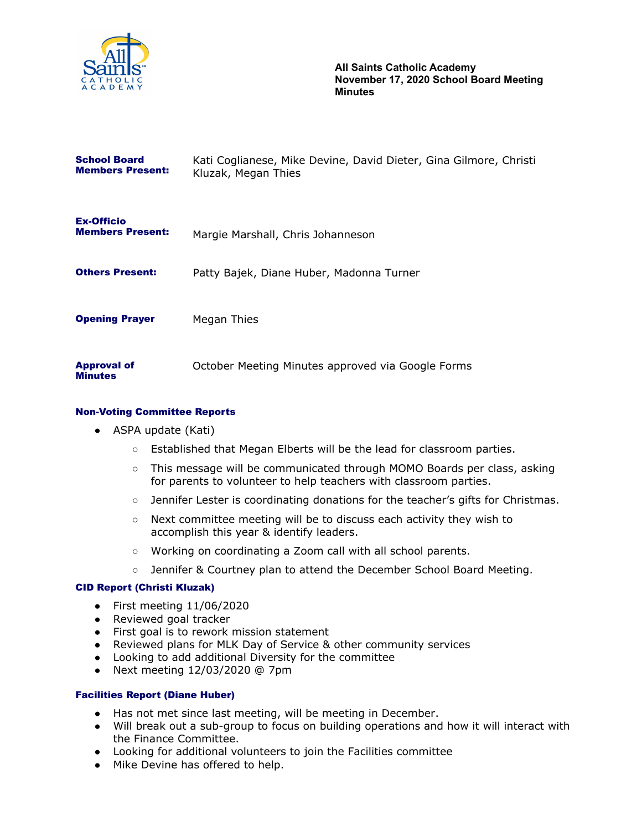

**All Saints Catholic Academy November 17, 2020 School Board Meeting Minutes**

| <b>School Board</b><br><b>Members Present:</b> | Kati Coglianese, Mike Devine, David Dieter, Gina Gilmore, Christi<br>Kluzak, Megan Thies |
|------------------------------------------------|------------------------------------------------------------------------------------------|
| <b>Ex-Officio</b><br><b>Members Present:</b>   | Margie Marshall, Chris Johanneson                                                        |
| <b>Others Present:</b>                         | Patty Bajek, Diane Huber, Madonna Turner                                                 |
| <b>Opening Prayer</b>                          | Megan Thies                                                                              |
| <b>Approval of</b><br><b>Minutes</b>           | October Meeting Minutes approved via Google Forms                                        |

### Non-Voting Committee Reports

- ASPA update (Kati)
	- Established that Megan Elberts will be the lead for classroom parties.
	- This message will be communicated through MOMO Boards per class, asking for parents to volunteer to help teachers with classroom parties.
	- Jennifer Lester is coordinating donations for the teacher's gifts for Christmas.
	- Next committee meeting will be to discuss each activity they wish to accomplish this year & identify leaders.
	- Working on coordinating a Zoom call with all school parents.
	- Jennifer & Courtney plan to attend the December School Board Meeting.

### CID Report (Christi Kluzak)

- $\bullet$  First meeting  $11/06/2020$
- Reviewed goal tracker
- First goal is to rework mission statement
- Reviewed plans for MLK Day of Service & other community services
- Looking to add additional Diversity for the committee
- Next meeting 12/03/2020 @ 7pm

#### Facilities Report (Diane Huber)

- Has not met since last meeting, will be meeting in December.
- Will break out a sub-group to focus on building operations and how it will interact with the Finance Committee.
- Looking for additional volunteers to join the Facilities committee
- Mike Devine has offered to help.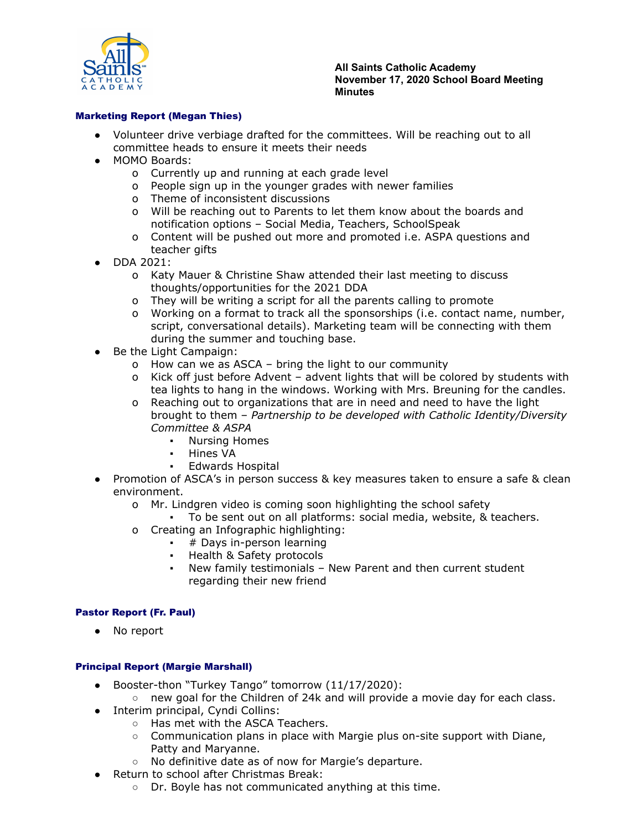

**All Saints Catholic Academy November 17, 2020 School Board Meeting Minutes**

## Marketing Report (Megan Thies)

- Volunteer drive verbiage drafted for the committees. Will be reaching out to all committee heads to ensure it meets their needs
- MOMO Boards:
	- o Currently up and running at each grade level
	- o People sign up in the younger grades with newer families
	- o Theme of inconsistent discussions
	- o Will be reaching out to Parents to let them know about the boards and notification options – Social Media, Teachers, SchoolSpeak
	- o Content will be pushed out more and promoted i.e. ASPA questions and teacher gifts
- DDA 2021:
	- o Katy Mauer & Christine Shaw attended their last meeting to discuss thoughts/opportunities for the 2021 DDA
	- o They will be writing a script for all the parents calling to promote
	- o Working on a format to track all the sponsorships (i.e. contact name, number, script, conversational details). Marketing team will be connecting with them during the summer and touching base.
- Be the Light Campaign:
	- o How can we as ASCA bring the light to our community
	- o Kick off just before Advent advent lights that will be colored by students with tea lights to hang in the windows. Working with Mrs. Breuning for the candles.
	- o Reaching out to organizations that are in need and need to have the light brought to them – *Partnership to be developed with Catholic Identity/Diversity Committee & ASPA*
		- **Nursing Homes**
		- Hines VA
		- **Edwards Hospital**
- Promotion of ASCA's in person success & key measures taken to ensure a safe & clean environment.
	- o Mr. Lindgren video is coming soon highlighting the school safety
	- To be sent out on all platforms: social media, website, & teachers.
	- o Creating an Infographic highlighting:
		- # Days in-person learning
		- Health & Safety protocols
		- New family testimonials New Parent and then current student regarding their new friend

### Pastor Report (Fr. Paul)

● No report

# Principal Report (Margie Marshall)

- Booster-thon "Turkey Tango" tomorrow (11/17/2020):
	- new goal for the Children of 24k and will provide a movie day for each class.
- Interim principal, Cyndi Collins:
	- Has met with the ASCA Teachers.
	- $\circ$  Communication plans in place with Margie plus on-site support with Diane, Patty and Maryanne.
	- No definitive date as of now for Margie's departure.
- Return to school after Christmas Break:
	- Dr. Boyle has not communicated anything at this time.